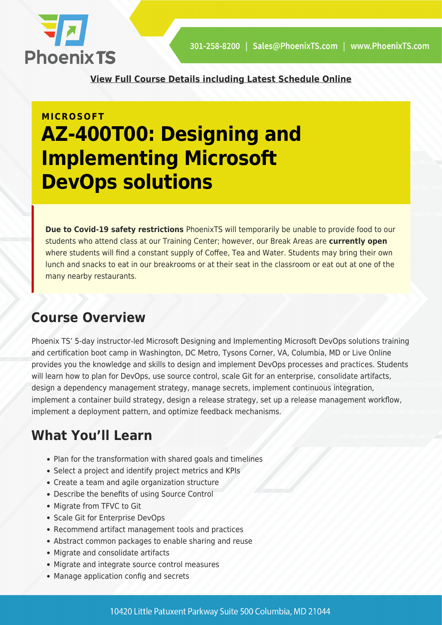

**[View Full Course Details including Latest Schedule Online](https://phoenixts.com/training-courses/az-400t00-designing-and-implementing-microsoft-devops-solutions/)**

# **MICROSOFT AZ-400T00: Designing and Implementing Microsoft DevOps solutions**

**Due to Covid-19 safety restrictions** PhoenixTS will temporarily be unable to provide food to our students who attend class at our Training Center; however, our Break Areas are **currently open** where students will find a constant supply of Coffee, Tea and Water. Students may bring their own lunch and snacks to eat in our breakrooms or at their seat in the classroom or eat out at one of the many nearby restaurants.

## **Course Overview**

Phoenix TS' 5-day instructor-led Microsoft Designing and Implementing Microsoft DevOps solutions training and certification boot camp in Washington, DC Metro, Tysons Corner, VA, Columbia, MD or Live Online provides you the knowledge and skills to design and implement DevOps processes and practices. Students will learn how to plan for DevOps, use source control, scale Git for an enterprise, consolidate artifacts, design a dependency management strategy, manage secrets, implement continuous integration, implement a container build strategy, design a release strategy, set up a release management workflow, implement a deployment pattern, and optimize feedback mechanisms.

## **What You'll Learn**

- Plan for the transformation with shared goals and timelines
- Select a project and identify project metrics and KPIs
- Create a team and agile organization structure
- Describe the benefits of using Source Control
- Migrate from TFVC to Git
- Scale Git for Enterprise DevOps
- Recommend artifact management tools and practices
- Abstract common packages to enable sharing and reuse
- Migrate and consolidate artifacts
- Migrate and integrate source control measures
- Manage application config and secrets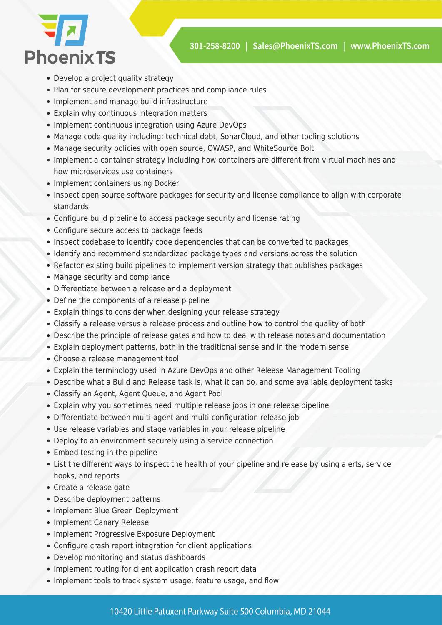

- Develop a project quality strategy
- Plan for secure development practices and compliance rules
- Implement and manage build infrastructure
- Explain why continuous integration matters
- Implement continuous integration using Azure DevOps
- Manage code quality including: technical debt, SonarCloud, and other tooling solutions
- Manage security policies with open source, OWASP, and WhiteSource Bolt
- Implement a container strategy including how containers are different from virtual machines and how microservices use containers
- Implement containers using Docker
- Inspect open source software packages for security and license compliance to align with corporate standards
- Configure build pipeline to access package security and license rating
- Configure secure access to package feeds
- Inspect codebase to identify code dependencies that can be converted to packages
- Identify and recommend standardized package types and versions across the solution
- Refactor existing build pipelines to implement version strategy that publishes packages
- Manage security and compliance
- Differentiate between a release and a deployment
- Define the components of a release pipeline
- Explain things to consider when designing your release strategy
- Classify a release versus a release process and outline how to control the quality of both
- Describe the principle of release gates and how to deal with release notes and documentation
- Explain deployment patterns, both in the traditional sense and in the modern sense
- Choose a release management tool
- Explain the terminology used in Azure DevOps and other Release Management Tooling
- Describe what a Build and Release task is, what it can do, and some available deployment tasks
- Classify an Agent, Agent Queue, and Agent Pool
- Explain why you sometimes need multiple release jobs in one release pipeline
- Differentiate between multi-agent and multi-configuration release job
- Use release variables and stage variables in your release pipeline
- Deploy to an environment securely using a service connection
- Embed testing in the pipeline
- List the different ways to inspect the health of your pipeline and release by using alerts, service hooks, and reports
- Create a release gate
- Describe deployment patterns
- Implement Blue Green Deployment
- Implement Canary Release
- Implement Progressive Exposure Deployment
- Configure crash report integration for client applications
- Develop monitoring and status dashboards
- Implement routing for client application crash report data
- Implement tools to track system usage, feature usage, and flow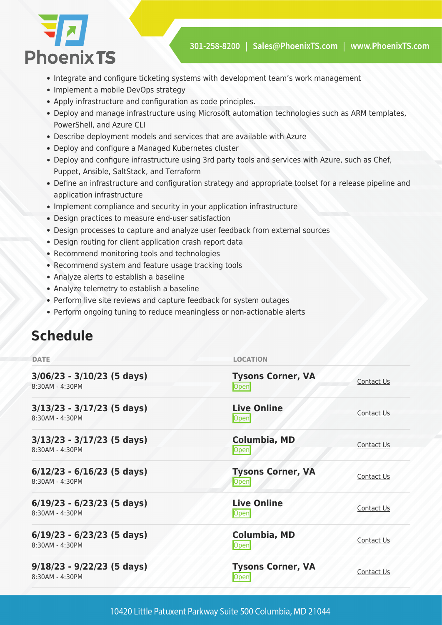

- Integrate and configure ticketing systems with development team's work management
- Implement a mobile DevOps strategy
- Apply infrastructure and configuration as code principles.
- Deploy and manage infrastructure using Microsoft automation technologies such as ARM templates, PowerShell, and Azure CLI
- Describe deployment models and services that are available with Azure
- Deploy and configure a Managed Kubernetes cluster
- Deploy and configure infrastructure using 3rd party tools and services with Azure, such as Chef, Puppet, Ansible, SaltStack, and Terraform
- Define an infrastructure and configuration strategy and appropriate toolset for a release pipeline and application infrastructure
- Implement compliance and security in your application infrastructure
- Design practices to measure end-user satisfaction
- Design processes to capture and analyze user feedback from external sources
- Design routing for client application crash report data
- Recommend monitoring tools and technologies
- Recommend system and feature usage tracking tools
- Analyze alerts to establish a baseline
- Analyze telemetry to establish a baseline
- Perform live site reviews and capture feedback for system outages
- Perform ongoing tuning to reduce meaningless or non-actionable alerts

## **Schedule**

| <b>DATE</b>                                     | <b>LOCATION</b>                  |            |
|-------------------------------------------------|----------------------------------|------------|
| $3/06/23 - 3/10/23$ (5 days)<br>8:30AM - 4:30PM | <b>Tysons Corner, VA</b><br>Open | Contact Us |
| $3/13/23 - 3/17/23$ (5 days)<br>8:30AM - 4:30PM | <b>Live Online</b><br>Open       | Contact Us |
| $3/13/23 - 3/17/23$ (5 days)<br>8:30AM - 4:30PM | <b>Columbia, MD</b><br>Open      | Contact Us |
| $6/12/23 - 6/16/23$ (5 days)<br>8:30AM - 4:30PM | <b>Tysons Corner, VA</b><br>Open | Contact Us |
| $6/19/23 - 6/23/23$ (5 days)<br>8:30AM - 4:30PM | <b>Live Online</b><br>Open       | Contact Us |
| $6/19/23 - 6/23/23$ (5 days)<br>8:30AM - 4:30PM | Columbia, MD<br>Open             | Contact Us |
| $9/18/23 - 9/22/23$ (5 days)<br>8:30AM - 4:30PM | <b>Tysons Corner, VA</b><br>Open | Contact Us |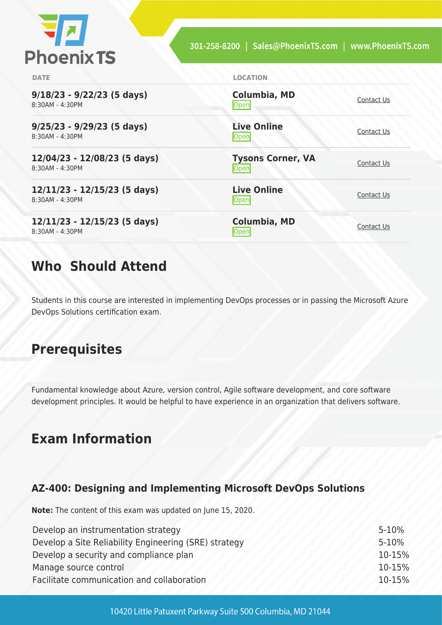

| <b>DATE</b>                                       | <b>LOCATION</b>                   |            |
|---------------------------------------------------|-----------------------------------|------------|
| $9/18/23 - 9/22/23$ (5 days)<br>8:30AM - 4:30PM   | <b>Columbia, MD</b><br>Open       | Contact Us |
| $9/25/23 - 9/29/23$ (5 days)<br>8:30AM - 4:30PM   | <b>Live Online</b><br>Open        | Contact Us |
| 12/04/23 - 12/08/23 (5 days)<br>8:30AM - 4:30PM   | <b>Tysons Corner, VA</b><br>Open  | Contact Us |
| $12/11/23 - 12/15/23$ (5 days)<br>8:30AM - 4:30PM | <b>Live Online</b><br><b>Open</b> | Contact Us |
| $12/11/23 - 12/15/23$ (5 days)<br>8:30AM - 4:30PM | <b>Columbia, MD</b><br>Openl      | Contact Us |

## **Who Should Attend**

Students in this course are interested in implementing DevOps processes or in passing the Microsoft Azure DevOps Solutions certification exam.

## **Prerequisites**

Fundamental knowledge about Azure, version control, Agile software development, and core software development principles. It would be helpful to have experience in an organization that delivers software.

## **Exam Information**

## **AZ-400: Designing and Implementing Microsoft DevOps Solutions**

**Note:** The content of this exam was updated on June 15, 2020.

| Develop an instrumentation strategy                   | $5 - 10%$ |
|-------------------------------------------------------|-----------|
| Develop a Site Reliability Engineering (SRE) strategy | $5 - 10%$ |
| Develop a security and compliance plan                | 10-15%    |
| Manage source control                                 | 10-15%    |
| Facilitate communication and collaboration            | 10-15%    |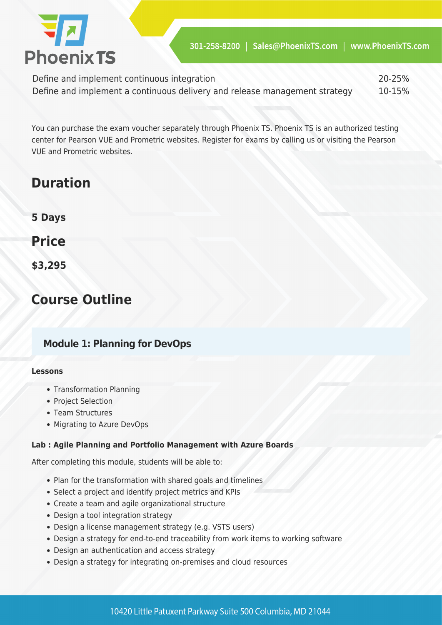

Define and implement continuous integration 20-25% Define and implement a continuous delivery and release management strategy 10-15%

You can purchase the exam voucher separately through Phoenix TS. Phoenix TS is an authorized testing center for Pearson VUE and Prometric websites. Register for exams by calling us or visiting the Pearson VUE and Prometric websites.

## **Duration**

**5 Days**

**Price**

**\$3,295**

## **Course Outline**

## **Module 1: Planning for DevOps**

#### **Lessons**

- Transformation Planning
- Project Selection
- Team Structures
- Migrating to Azure DevOps

#### **Lab : Agile Planning and Portfolio Management with Azure Boards**

After completing this module, students will be able to:

- Plan for the transformation with shared goals and timelines
- Select a project and identify project metrics and KPIs
- Create a team and agile organizational structure
- Design a tool integration strategy
- Design a license management strategy (e.g. VSTS users)
- Design a strategy for end-to-end traceability from work items to working software
- Design an authentication and access strategy
- Design a strategy for integrating on-premises and cloud resources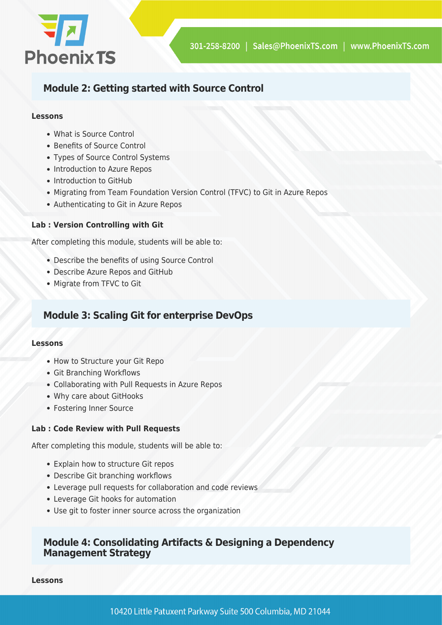

## **Module 2: Getting started with Source Control**

#### **Lessons**

- What is Source Control
- Benefits of Source Control
- Types of Source Control Systems
- Introduction to Azure Repos
- Introduction to GitHub
- Migrating from Team Foundation Version Control (TFVC) to Git in Azure Repos
- Authenticating to Git in Azure Repos

#### **Lab : Version Controlling with Git**

After completing this module, students will be able to:

- Describe the benefits of using Source Control
- Describe Azure Repos and GitHub
- Migrate from TFVC to Git

## **Module 3: Scaling Git for enterprise DevOps**

#### **Lessons**

- How to Structure your Git Repo
- Git Branching Workflows
- Collaborating with Pull Requests in Azure Repos
- Why care about GitHooks
- Fostering Inner Source

#### **Lab : Code Review with Pull Requests**

After completing this module, students will be able to:

- Explain how to structure Git repos
- Describe Git branching workflows
- Leverage pull requests for collaboration and code reviews
- Leverage Git hooks for automation
- Use git to foster inner source across the organization

### **Module 4: Consolidating Artifacts & Designing a Dependency Management Strategy**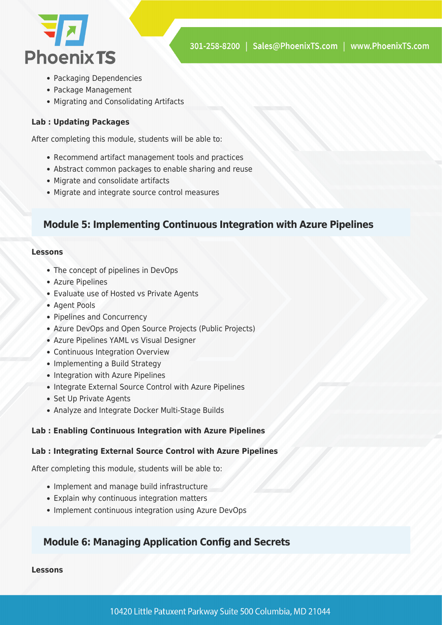

- Packaging Dependencies
- Package Management
- Migrating and Consolidating Artifacts

#### **Lab : Updating Packages**

After completing this module, students will be able to:

- Recommend artifact management tools and practices
- Abstract common packages to enable sharing and reuse
- Migrate and consolidate artifacts
- Migrate and integrate source control measures

## **Module 5: Implementing Continuous Integration with Azure Pipelines**

#### **Lessons**

- The concept of pipelines in DevOps
- Azure Pipelines
- Evaluate use of Hosted vs Private Agents
- Agent Pools
- Pipelines and Concurrency
- Azure DevOps and Open Source Projects (Public Projects)
- Azure Pipelines YAML vs Visual Designer
- Continuous Integration Overview
- Implementing a Build Strategy
- Integration with Azure Pipelines
- Integrate External Source Control with Azure Pipelines
- Set Up Private Agents
- Analyze and Integrate Docker Multi-Stage Builds

#### **Lab : Enabling Continuous Integration with Azure Pipelines**

#### **Lab : Integrating External Source Control with Azure Pipelines**

After completing this module, students will be able to:

- Implement and manage build infrastructure
- Explain why continuous integration matters
- Implement continuous integration using Azure DevOps

## **Module 6: Managing Application Config and Secrets**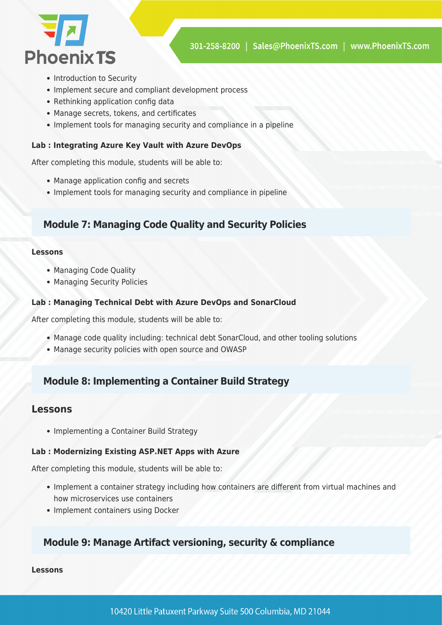

- Introduction to Security
- Implement secure and compliant development process
- Rethinking application config data
- Manage secrets, tokens, and certificates
- Implement tools for managing security and compliance in a pipeline

#### **Lab : Integrating Azure Key Vault with Azure DevOps**

After completing this module, students will be able to:

- Manage application config and secrets
- Implement tools for managing security and compliance in pipeline

## **Module 7: Managing Code Quality and Security Policies**

#### **Lessons**

- Managing Code Quality
- Managing Security Policies

#### **Lab : Managing Technical Debt with Azure DevOps and SonarCloud**

After completing this module, students will be able to:

- Manage code quality including: technical debt SonarCloud, and other tooling solutions
- Manage security policies with open source and OWASP

## **Module 8: Implementing a Container Build Strategy**

### **Lessons**

• Implementing a Container Build Strategy

#### **Lab : Modernizing Existing ASP.NET Apps with Azure**

After completing this module, students will be able to:

- Implement a container strategy including how containers are different from virtual machines and how microservices use containers
- Implement containers using Docker

## **Module 9: Manage Artifact versioning, security & compliance**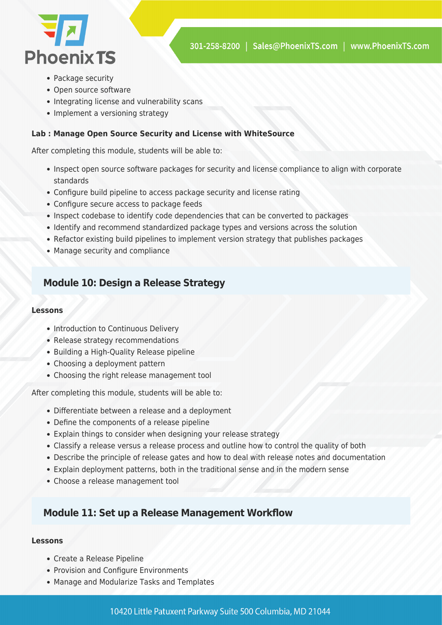

- Package security
- Open source software
- Integrating license and vulnerability scans
- Implement a versioning strategy

#### **Lab : Manage Open Source Security and License with WhiteSource**

After completing this module, students will be able to:

- Inspect open source software packages for security and license compliance to align with corporate standards
- Configure build pipeline to access package security and license rating
- Configure secure access to package feeds
- Inspect codebase to identify code dependencies that can be converted to packages
- Identify and recommend standardized package types and versions across the solution
- Refactor existing build pipelines to implement version strategy that publishes packages
- Manage security and compliance

## **Module 10: Design a Release Strategy**

#### **Lessons**

- Introduction to Continuous Delivery
- Release strategy recommendations
- Building a High-Quality Release pipeline
- Choosing a deployment pattern
- Choosing the right release management tool

After completing this module, students will be able to:

- Differentiate between a release and a deployment
- Define the components of a release pipeline
- Explain things to consider when designing your release strategy
- Classify a release versus a release process and outline how to control the quality of both
- Describe the principle of release gates and how to deal with release notes and documentation
- Explain deployment patterns, both in the traditional sense and in the modern sense
- Choose a release management tool

### **Module 11: Set up a Release Management Workflow**

- Create a Release Pipeline
- Provision and Configure Environments
- Manage and Modularize Tasks and Templates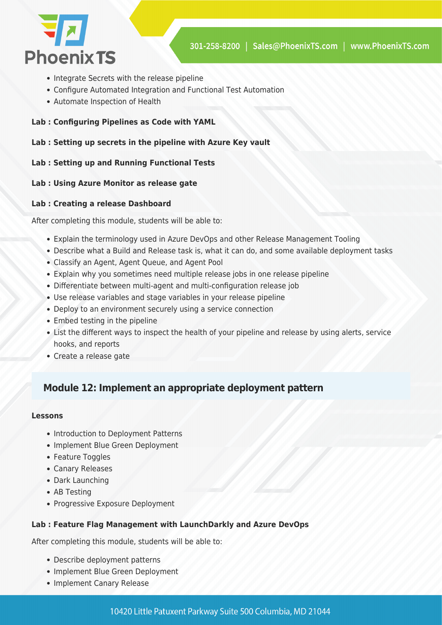

- Integrate Secrets with the release pipeline
- Configure Automated Integration and Functional Test Automation
- Automate Inspection of Health
- **Lab : Configuring Pipelines as Code with YAML**
- **Lab : Setting up secrets in the pipeline with Azure Key vault**

#### **Lab : Setting up and Running Functional Tests**

#### **Lab : Using Azure Monitor as release gate**

#### **Lab : Creating a release Dashboard**

After completing this module, students will be able to:

- Explain the terminology used in Azure DevOps and other Release Management Tooling
- Describe what a Build and Release task is, what it can do, and some available deployment tasks
- Classify an Agent, Agent Queue, and Agent Pool
- Explain why you sometimes need multiple release jobs in one release pipeline
- Differentiate between multi-agent and multi-configuration release job
- Use release variables and stage variables in your release pipeline
- Deploy to an environment securely using a service connection
- Embed testing in the pipeline
- List the different ways to inspect the health of your pipeline and release by using alerts, service hooks, and reports
- Create a release gate

## **Module 12: Implement an appropriate deployment pattern**

#### **Lessons**

- Introduction to Deployment Patterns
- Implement Blue Green Deployment
- Feature Toggles
- Canary Releases
- Dark Launching
- AB Testing
- Progressive Exposure Deployment

#### **Lab : Feature Flag Management with LaunchDarkly and Azure DevOps**

After completing this module, students will be able to:

- Describe deployment patterns
- Implement Blue Green Deployment
- Implement Canary Release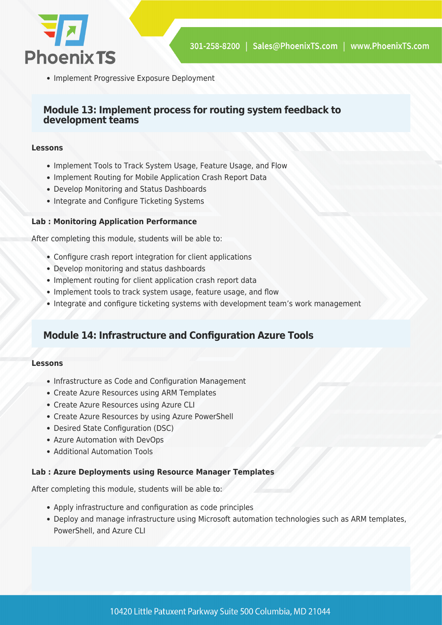

• Implement Progressive Exposure Deployment

### **Module 13: Implement process for routing system feedback to development teams**

#### **Lessons**

- Implement Tools to Track System Usage, Feature Usage, and Flow
- Implement Routing for Mobile Application Crash Report Data
- Develop Monitoring and Status Dashboards
- Integrate and Configure Ticketing Systems

#### **Lab : Monitoring Application Performance**

After completing this module, students will be able to:

- Configure crash report integration for client applications
- Develop monitoring and status dashboards
- Implement routing for client application crash report data
- Implement tools to track system usage, feature usage, and flow
- Integrate and configure ticketing systems with development team's work management

## **Module 14: Infrastructure and Configuration Azure Tools**

#### **Lessons**

- Infrastructure as Code and Configuration Management
- Create Azure Resources using ARM Templates
- Create Azure Resources using Azure CLI
- Create Azure Resources by using Azure PowerShell
- Desired State Configuration (DSC)
- Azure Automation with DevOps
- Additional Automation Tools

#### **Lab : Azure Deployments using Resource Manager Templates**

After completing this module, students will be able to:

- Apply infrastructure and configuration as code principles
- Deploy and manage infrastructure using Microsoft automation technologies such as ARM templates, PowerShell, and Azure CLI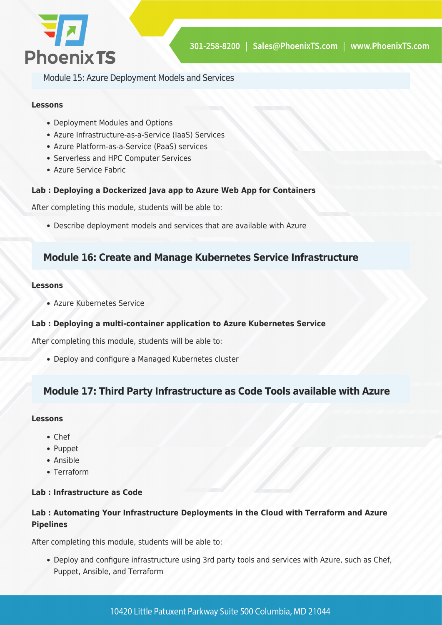

Module 15: Azure Deployment Models and Services

#### **Lessons**

- Deployment Modules and Options
- Azure Infrastructure-as-a-Service (IaaS) Services
- Azure Platform-as-a-Service (PaaS) services
- Serverless and HPC Computer Services
- Azure Service Fabric

#### **Lab : Deploying a Dockerized Java app to Azure Web App for Containers**

After completing this module, students will be able to:

Describe deployment models and services that are available with Azure

## **Module 16: Create and Manage Kubernetes Service Infrastructure**

#### **Lessons**

Azure Kubernetes Service

#### **Lab : Deploying a multi-container application to Azure Kubernetes Service**

After completing this module, students will be able to:

Deploy and configure a Managed Kubernetes cluster

## **Module 17: Third Party Infrastructure as Code Tools available with Azure**

#### **Lessons**

- Chef
- Puppet
- Ansible
- Terraform

#### **Lab : Infrastructure as Code**

#### **Lab : Automating Your Infrastructure Deployments in the Cloud with Terraform and Azure Pipelines**

After completing this module, students will be able to:

Deploy and configure infrastructure using 3rd party tools and services with Azure, such as Chef, Puppet, Ansible, and Terraform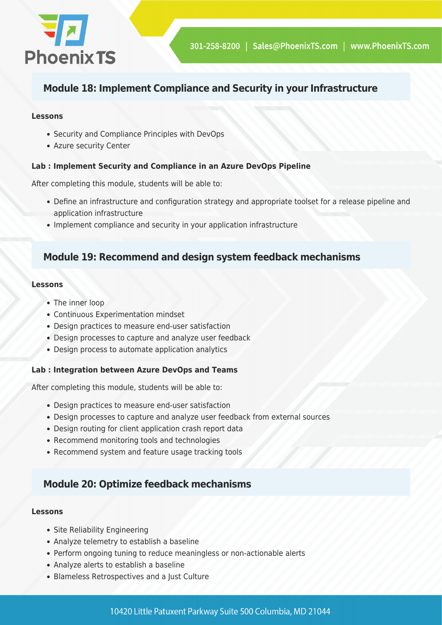

## **Module 18: Implement Compliance and Security in your Infrastructure**

#### **Lessons**

- Security and Compliance Principles with DevOps
- Azure security Center

#### **Lab : Implement Security and Compliance in an Azure DevOps Pipeline**

After completing this module, students will be able to:

- Define an infrastructure and configuration strategy and appropriate toolset for a release pipeline and application infrastructure
- Implement compliance and security in your application infrastructure

## **Module 19: Recommend and design system feedback mechanisms**

#### **Lessons**

- The inner loop
- Continuous Experimentation mindset
- Design practices to measure end-user satisfaction
- Design processes to capture and analyze user feedback
- Design process to automate application analytics

#### **Lab : Integration between Azure DevOps and Teams**

After completing this module, students will be able to:

- Design practices to measure end-user satisfaction
- Design processes to capture and analyze user feedback from external sources
- Design routing for client application crash report data
- Recommend monitoring tools and technologies
- Recommend system and feature usage tracking tools

## **Module 20: Optimize feedback mechanisms**

- Site Reliability Engineering
- Analyze telemetry to establish a baseline
- Perform ongoing tuning to reduce meaningless or non-actionable alerts
- Analyze alerts to establish a baseline
- Blameless Retrospectives and a Just Culture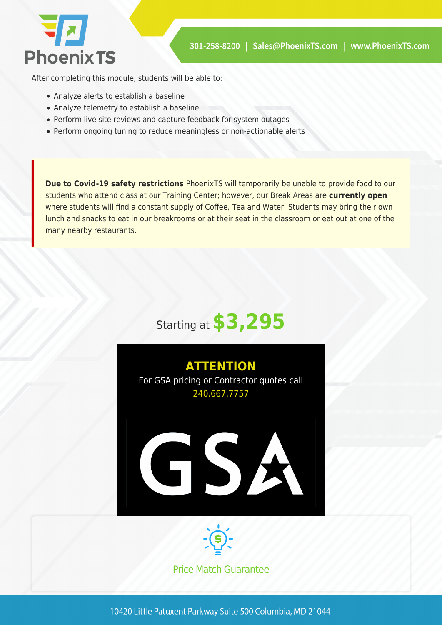

After completing this module, students will be able to:

- Analyze alerts to establish a baseline
- Analyze telemetry to establish a baseline
- Perform live site reviews and capture feedback for system outages
- Perform ongoing tuning to reduce meaningless or non-actionable alerts

**Due to Covid-19 safety restrictions** PhoenixTS will temporarily be unable to provide food to our students who attend class at our Training Center; however, our Break Areas are **currently open** where students will find a constant supply of Coffee, Tea and Water. Students may bring their own lunch and snacks to eat in our breakrooms or at their seat in the classroom or eat out at one of the many nearby restaurants.







Price Match Guarantee